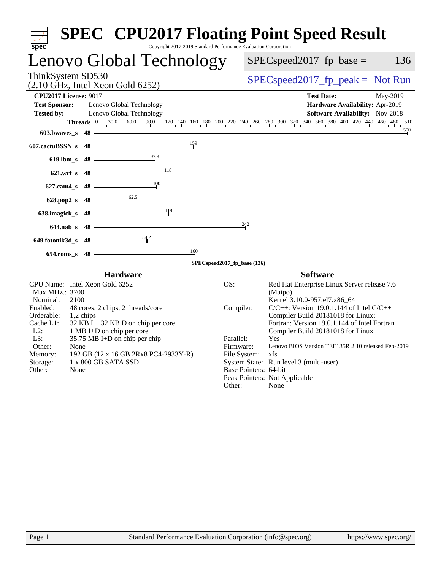| Copyright 2017-2019 Standard Performance Evaluation Corporation<br>$spec^*$                                                                                                                                                                                                                                                                                                                                                       | <b>SPEC<sup>®</sup> CPU2017 Floating Point Speed Result</b>                                                                                                                                                                                                                                                                                                                                                                                                                                                                                   |
|-----------------------------------------------------------------------------------------------------------------------------------------------------------------------------------------------------------------------------------------------------------------------------------------------------------------------------------------------------------------------------------------------------------------------------------|-----------------------------------------------------------------------------------------------------------------------------------------------------------------------------------------------------------------------------------------------------------------------------------------------------------------------------------------------------------------------------------------------------------------------------------------------------------------------------------------------------------------------------------------------|
| Lenovo Global Technology                                                                                                                                                                                                                                                                                                                                                                                                          | $SPEC speed2017_fp\_base =$<br>136                                                                                                                                                                                                                                                                                                                                                                                                                                                                                                            |
| ThinkSystem SD530<br>$(2.10 \text{ GHz}, \text{Intel Xeon Gold } 6252)$                                                                                                                                                                                                                                                                                                                                                           | $SPEC speed2017fp peak = Not Run$                                                                                                                                                                                                                                                                                                                                                                                                                                                                                                             |
| <b>CPU2017 License: 9017</b><br><b>Test Sponsor:</b><br>Lenovo Global Technology<br>Lenovo Global Technology<br><b>Tested by:</b><br>$30.0 \t 60.0 \t 90.0$<br>Threads $ 0 $<br>603.bwaves_s<br>48                                                                                                                                                                                                                                | <b>Test Date:</b><br>May-2019<br>Hardware Availability: Apr-2019<br>Software Availability: Nov-2018<br>$120 \quad 140 \quad 160 \quad 180 \quad 200 \quad 220 \quad 240 \quad 260 \quad 280 \quad 300 \quad 320 \quad 340 \quad 360 \quad 380 \quad 400 \quad 420 \quad 440 \quad 460 \quad 480$<br>510<br>500                                                                                                                                                                                                                                |
| 159<br>607.cactuBSSN_s<br>48                                                                                                                                                                                                                                                                                                                                                                                                      |                                                                                                                                                                                                                                                                                                                                                                                                                                                                                                                                               |
| 97.3<br>$619$ .lbm_s<br>48                                                                                                                                                                                                                                                                                                                                                                                                        |                                                                                                                                                                                                                                                                                                                                                                                                                                                                                                                                               |
| 118<br>$621.wrf$ <sub>S</sub><br>48                                                                                                                                                                                                                                                                                                                                                                                               |                                                                                                                                                                                                                                                                                                                                                                                                                                                                                                                                               |
| 100<br>48<br>$627$ .cam $4$ s                                                                                                                                                                                                                                                                                                                                                                                                     |                                                                                                                                                                                                                                                                                                                                                                                                                                                                                                                                               |
| 62.5<br>48<br>$628.pop2_s$                                                                                                                                                                                                                                                                                                                                                                                                        |                                                                                                                                                                                                                                                                                                                                                                                                                                                                                                                                               |
| 119<br>638.imagick_s<br>48                                                                                                                                                                                                                                                                                                                                                                                                        | 242                                                                                                                                                                                                                                                                                                                                                                                                                                                                                                                                           |
| $644$ .nab s<br>48<br>84.2                                                                                                                                                                                                                                                                                                                                                                                                        |                                                                                                                                                                                                                                                                                                                                                                                                                                                                                                                                               |
| 649.fotonik3d_s<br>48<br>$\frac{160}{1}$<br>$654$ .roms_s<br>48                                                                                                                                                                                                                                                                                                                                                                   |                                                                                                                                                                                                                                                                                                                                                                                                                                                                                                                                               |
|                                                                                                                                                                                                                                                                                                                                                                                                                                   | SPECspeed2017_fp_base (136)                                                                                                                                                                                                                                                                                                                                                                                                                                                                                                                   |
| <b>Hardware</b><br>CPU Name: Intel Xeon Gold 6252<br>Max MHz.: 3700<br>Nominal:<br>2100<br>Enabled:<br>48 cores, 2 chips, 2 threads/core<br>Orderable:<br>1,2 chips<br>Cache L1:<br>$32$ KB I + 32 KB D on chip per core<br>$L2$ :<br>1 MB I+D on chip per core<br>L3:<br>35.75 MB I+D on chip per chip<br>Other:<br>None<br>192 GB (12 x 16 GB 2Rx8 PC4-2933Y-R)<br>Memory:<br>Storage:<br>1 x 800 GB SATA SSD<br>Other:<br>None | <b>Software</b><br>OS:<br>Red Hat Enterprise Linux Server release 7.6<br>(Maipo)<br>Kernel 3.10.0-957.el7.x86_64<br>$C/C++$ : Version 19.0.1.144 of Intel $C/C++$<br>Compiler:<br>Compiler Build 20181018 for Linux;<br>Fortran: Version 19.0.1.144 of Intel Fortran<br>Compiler Build 20181018 for Linux<br>Parallel:<br>Yes<br>Firmware:<br>Lenovo BIOS Version TEE135R 2.10 released Feb-2019<br>xfs<br>File System:<br>System State: Run level 3 (multi-user)<br>Base Pointers: 64-bit<br>Peak Pointers: Not Applicable<br>Other:<br>None |
| Page 1                                                                                                                                                                                                                                                                                                                                                                                                                            | Standard Performance Evaluation Corporation (info@spec.org)<br>https://www.spec.org/                                                                                                                                                                                                                                                                                                                                                                                                                                                          |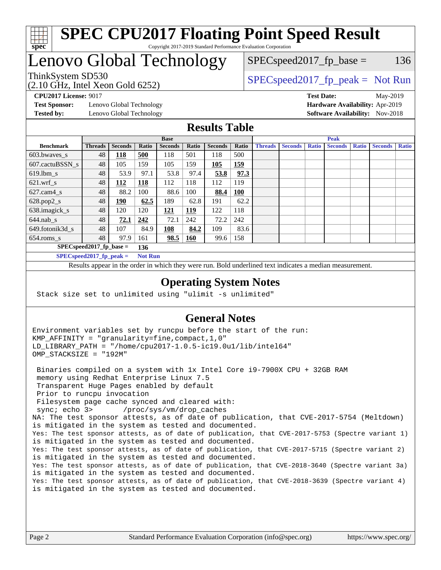

### **[SPEC CPU2017 Floating Point Speed Result](http://www.spec.org/auto/cpu2017/Docs/result-fields.html#SPECCPU2017FloatingPointSpeedResult)** Copyright 2017-2019 Standard Performance Evaluation Corporation

# Lenovo Global Technology

(2.10 GHz, Intel Xeon Gold 6252)

 $SPEC speed2017_fp\_base = 136$ 

### ThinkSystem SD530  $SPEC speed2017_f p_peak = Not Run$

**[Test Sponsor:](http://www.spec.org/auto/cpu2017/Docs/result-fields.html#TestSponsor)** Lenovo Global Technology **[Hardware Availability:](http://www.spec.org/auto/cpu2017/Docs/result-fields.html#HardwareAvailability)** Apr-2019 **[Tested by:](http://www.spec.org/auto/cpu2017/Docs/result-fields.html#Testedby)** Lenovo Global Technology **[Software Availability:](http://www.spec.org/auto/cpu2017/Docs/result-fields.html#SoftwareAvailability)** Nov-2018

**[CPU2017 License:](http://www.spec.org/auto/cpu2017/Docs/result-fields.html#CPU2017License)** 9017 **[Test Date:](http://www.spec.org/auto/cpu2017/Docs/result-fields.html#TestDate)** May-2019

### **[Results Table](http://www.spec.org/auto/cpu2017/Docs/result-fields.html#ResultsTable)**

|                                   | <b>Base</b>                |                |                |                |            | <b>Peak</b>    |            |                |                |              |                |              |                |              |
|-----------------------------------|----------------------------|----------------|----------------|----------------|------------|----------------|------------|----------------|----------------|--------------|----------------|--------------|----------------|--------------|
| <b>Benchmark</b>                  | <b>Threads</b>             | <b>Seconds</b> | Ratio          | <b>Seconds</b> | Ratio      | <b>Seconds</b> | Ratio      | <b>Threads</b> | <b>Seconds</b> | <b>Ratio</b> | <b>Seconds</b> | <b>Ratio</b> | <b>Seconds</b> | <b>Ratio</b> |
| 603.bwayes_s                      | 48                         | 118            | 500            | 118            | 501        | 118            | 500        |                |                |              |                |              |                |              |
| 607.cactuBSSN s                   | 48                         | 105            | 159            | 105            | 159        | 105            | 159        |                |                |              |                |              |                |              |
| $619.$ lbm s                      | 48                         | 53.9           | 97.1           | 53.8           | 97.4       | 53.8           | 97.3       |                |                |              |                |              |                |              |
| $621.wrf$ s                       | 48                         | <b>112</b>     | <b>118</b>     | 112            | 118        | 112            | 119        |                |                |              |                |              |                |              |
| $627$ .cam $4 \text{ s}$          | 48                         | 88.2           | 100            | 88.6           | 100        | 88.4           | <b>100</b> |                |                |              |                |              |                |              |
| $628.pop2_s$                      | 48                         | <u>190</u>     | 62.5           | 189            | 62.8       | 191            | 62.2       |                |                |              |                |              |                |              |
| 638.imagick_s                     | 48                         | 120            | 120            | 121            | 119        | 122            | 118        |                |                |              |                |              |                |              |
| $644$ .nab s                      | 48                         | 72.1           | 242            | 72.1           | 242        | 72.2           | 242        |                |                |              |                |              |                |              |
| 649.fotonik3d_s                   | 48                         | 107            | 84.9           | 108            | 84.2       | 109            | 83.6       |                |                |              |                |              |                |              |
| $654$ .roms_s                     | 48                         | 97.9           | 161            | 98.5           | <b>160</b> | 99.6           | 158        |                |                |              |                |              |                |              |
| $SPEC speed2017$ fp base =<br>136 |                            |                |                |                |            |                |            |                |                |              |                |              |                |              |
|                                   | $SPECspeed2017_fp\_peak =$ |                | <b>Not Run</b> |                |            |                |            |                |                |              |                |              |                |              |

Results appear in the [order in which they were run.](http://www.spec.org/auto/cpu2017/Docs/result-fields.html#RunOrder) Bold underlined text [indicates a median measurement](http://www.spec.org/auto/cpu2017/Docs/result-fields.html#Median).

#### **[Operating System Notes](http://www.spec.org/auto/cpu2017/Docs/result-fields.html#OperatingSystemNotes)**

Stack size set to unlimited using "ulimit -s unlimited"

### **[General Notes](http://www.spec.org/auto/cpu2017/Docs/result-fields.html#GeneralNotes)**

Environment variables set by runcpu before the start of the run: KMP\_AFFINITY = "granularity=fine,compact,1,0" LD\_LIBRARY\_PATH = "/home/cpu2017-1.0.5-ic19.0u1/lib/intel64" OMP\_STACKSIZE = "192M"

 Binaries compiled on a system with 1x Intel Core i9-7900X CPU + 32GB RAM memory using Redhat Enterprise Linux 7.5 Transparent Huge Pages enabled by default Prior to runcpu invocation Filesystem page cache synced and cleared with: sync; echo 3> /proc/sys/vm/drop\_caches NA: The test sponsor attests, as of date of publication, that CVE-2017-5754 (Meltdown) is mitigated in the system as tested and documented. Yes: The test sponsor attests, as of date of publication, that CVE-2017-5753 (Spectre variant 1) is mitigated in the system as tested and documented. Yes: The test sponsor attests, as of date of publication, that CVE-2017-5715 (Spectre variant 2) is mitigated in the system as tested and documented. Yes: The test sponsor attests, as of date of publication, that CVE-2018-3640 (Spectre variant 3a) is mitigated in the system as tested and documented. Yes: The test sponsor attests, as of date of publication, that CVE-2018-3639 (Spectre variant 4) is mitigated in the system as tested and documented.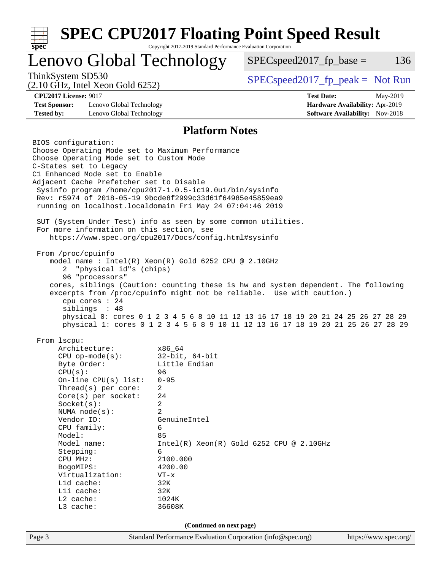| <b>SPEC CPU2017 Floating Point Speed Result</b><br>Copyright 2017-2019 Standard Performance Evaluation Corporation<br>$spec^*$                                                                                                                                                                                                                                                                                                                                                                                                                                                                                                                                                                                                                                                                                                                                                                        |                                                                                                                                                                                                         |                                                                                                                                |                                             |     |  |
|-------------------------------------------------------------------------------------------------------------------------------------------------------------------------------------------------------------------------------------------------------------------------------------------------------------------------------------------------------------------------------------------------------------------------------------------------------------------------------------------------------------------------------------------------------------------------------------------------------------------------------------------------------------------------------------------------------------------------------------------------------------------------------------------------------------------------------------------------------------------------------------------------------|---------------------------------------------------------------------------------------------------------------------------------------------------------------------------------------------------------|--------------------------------------------------------------------------------------------------------------------------------|---------------------------------------------|-----|--|
| Lenovo Global Technology                                                                                                                                                                                                                                                                                                                                                                                                                                                                                                                                                                                                                                                                                                                                                                                                                                                                              |                                                                                                                                                                                                         | $SPEC speed2017fp base =$                                                                                                      |                                             | 136 |  |
| ThinkSystem SD530<br>$(2.10 \text{ GHz}, \text{Intel Xeon Gold } 6252)$                                                                                                                                                                                                                                                                                                                                                                                                                                                                                                                                                                                                                                                                                                                                                                                                                               |                                                                                                                                                                                                         | $SPEC speed2017rfp peak = Not Run$                                                                                             |                                             |     |  |
| <b>CPU2017 License: 9017</b><br><b>Test Sponsor:</b><br>Lenovo Global Technology                                                                                                                                                                                                                                                                                                                                                                                                                                                                                                                                                                                                                                                                                                                                                                                                                      |                                                                                                                                                                                                         | <b>Test Date:</b>                                                                                                              | May-2019<br>Hardware Availability: Apr-2019 |     |  |
| <b>Tested by:</b><br>Lenovo Global Technology                                                                                                                                                                                                                                                                                                                                                                                                                                                                                                                                                                                                                                                                                                                                                                                                                                                         |                                                                                                                                                                                                         |                                                                                                                                | <b>Software Availability:</b> Nov-2018      |     |  |
|                                                                                                                                                                                                                                                                                                                                                                                                                                                                                                                                                                                                                                                                                                                                                                                                                                                                                                       | <b>Platform Notes</b>                                                                                                                                                                                   |                                                                                                                                |                                             |     |  |
| Choose Operating Mode set to Maximum Performance<br>Choose Operating Mode set to Custom Mode<br>C-States set to Legacy<br>C1 Enhanced Mode set to Enable<br>Adjacent Cache Prefetcher set to Disable<br>Sysinfo program /home/cpu2017-1.0.5-ic19.0ul/bin/sysinfo<br>Rev: r5974 of 2018-05-19 9bcde8f2999c33d61f64985e45859ea9<br>running on localhost.localdomain Fri May 24 07:04:46 2019<br>SUT (System Under Test) info as seen by some common utilities.<br>For more information on this section, see<br>https://www.spec.org/cpu2017/Docs/config.html#sysinfo<br>From /proc/cpuinfo<br>model name : Intel(R) Xeon(R) Gold 6252 CPU @ 2.10GHz<br>"physical id"s (chips)<br>2<br>96 "processors"<br>cores, siblings (Caution: counting these is hw and system dependent. The following<br>excerpts from /proc/cpuinfo might not be reliable. Use with caution.)<br>cpu cores : 24<br>siblings : 48 |                                                                                                                                                                                                         |                                                                                                                                |                                             |     |  |
| From 1scpu:<br>Architecture:<br>$CPU$ op-mode( $s$ ):<br>Byte Order:<br>CPU(s):<br>On-line CPU(s) list:<br>Thread(s) per core:<br>$Core(s)$ per socket:<br>Socket(s):<br>NUMA $node(s):$<br>Vendor ID:<br>CPU family:<br>Model:<br>Model name:<br>Stepping:<br>CPU MHz:<br>BogoMIPS:<br>Virtualization:<br>L1d cache:<br>Lli cache:<br>L2 cache:<br>L3 cache:                                                                                                                                                                                                                                                                                                                                                                                                                                                                                                                                         | x86 64<br>$32$ -bit, $64$ -bit<br>Little Endian<br>96<br>$0 - 95$<br>2<br>24<br>2<br>$\overline{a}$<br>GenuineIntel<br>6<br>85<br>6<br>2100.000<br>4200.00<br>$VT - x$<br>32K<br>32K<br>1024K<br>36608K | physical 1: cores 0 1 2 3 4 5 6 8 9 10 11 12 13 16 17 18 19 20 21 25 26 27 28 29<br>$Intel(R) Xeon(R) Gold 6252 CPU @ 2.10GHz$ |                                             |     |  |
| (Continued on next page)                                                                                                                                                                                                                                                                                                                                                                                                                                                                                                                                                                                                                                                                                                                                                                                                                                                                              |                                                                                                                                                                                                         |                                                                                                                                |                                             |     |  |
| Page 3                                                                                                                                                                                                                                                                                                                                                                                                                                                                                                                                                                                                                                                                                                                                                                                                                                                                                                | Standard Performance Evaluation Corporation (info@spec.org)                                                                                                                                             |                                                                                                                                | https://www.spec.org/                       |     |  |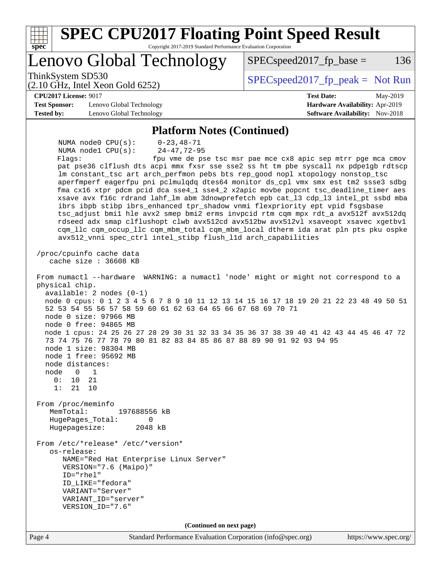| <b>SPEC CPU2017 Floating Point Speed Result</b><br>spec<br>Copyright 2017-2019 Standard Performance Evaluation Corporation                                                                                                                                                                                                                                                                                                                                                                                                                                                                                                                                                                                                                                                                                                                                                                                                                                                                                            |                                                                    |
|-----------------------------------------------------------------------------------------------------------------------------------------------------------------------------------------------------------------------------------------------------------------------------------------------------------------------------------------------------------------------------------------------------------------------------------------------------------------------------------------------------------------------------------------------------------------------------------------------------------------------------------------------------------------------------------------------------------------------------------------------------------------------------------------------------------------------------------------------------------------------------------------------------------------------------------------------------------------------------------------------------------------------|--------------------------------------------------------------------|
| Lenovo Global Technology                                                                                                                                                                                                                                                                                                                                                                                                                                                                                                                                                                                                                                                                                                                                                                                                                                                                                                                                                                                              | 136<br>$SPEC speed2017$ fp base =                                  |
| ThinkSystem SD530<br>$(2.10 \text{ GHz}, \text{Intel Xeon Gold } 6252)$                                                                                                                                                                                                                                                                                                                                                                                                                                                                                                                                                                                                                                                                                                                                                                                                                                                                                                                                               | $SPEC speed2017_fp\_peak = Not Run$                                |
| <b>CPU2017 License: 9017</b>                                                                                                                                                                                                                                                                                                                                                                                                                                                                                                                                                                                                                                                                                                                                                                                                                                                                                                                                                                                          | <b>Test Date:</b><br>May-2019                                      |
| <b>Test Sponsor:</b><br>Lenovo Global Technology<br><b>Tested by:</b><br>Lenovo Global Technology                                                                                                                                                                                                                                                                                                                                                                                                                                                                                                                                                                                                                                                                                                                                                                                                                                                                                                                     | Hardware Availability: Apr-2019<br>Software Availability: Nov-2018 |
| <b>Platform Notes (Continued)</b>                                                                                                                                                                                                                                                                                                                                                                                                                                                                                                                                                                                                                                                                                                                                                                                                                                                                                                                                                                                     |                                                                    |
| NUMA node0 CPU(s):<br>$0 - 23, 48 - 71$<br>$24 - 47, 72 - 95$<br>NUMA $node1$ $CPU(s):$<br>Flags:<br>pat pse36 clflush dts acpi mmx fxsr sse sse2 ss ht tm pbe syscall nx pdpelgb rdtscp<br>lm constant_tsc art arch_perfmon pebs bts rep_good nopl xtopology nonstop_tsc<br>aperfmperf eagerfpu pni pclmulqdq dtes64 monitor ds_cpl vmx smx est tm2 ssse3 sdbg<br>fma cx16 xtpr pdcm pcid dca sse4_1 sse4_2 x2apic movbe popcnt tsc_deadline_timer aes<br>xsave avx f16c rdrand lahf_lm abm 3dnowprefetch epb cat_13 cdp_13 intel_pt ssbd mba<br>ibrs ibpb stibp ibrs_enhanced tpr_shadow vnmi flexpriority ept vpid fsgsbase<br>tsc_adjust bmil hle avx2 smep bmi2 erms invpcid rtm cqm mpx rdt_a avx512f avx512dq<br>rdseed adx smap clflushopt clwb avx512cd avx512bw avx512vl xsaveopt xsavec xgetbvl<br>cqm_llc cqm_occup_llc cqm_mbm_total cqm_mbm_local dtherm ida arat pln pts pku ospke<br>avx512_vnni spec_ctrl intel_stibp flush_l1d arch_capabilities<br>/proc/cpuinfo cache data                        | fpu vme de pse tsc msr pae mce cx8 apic sep mtrr pge mca cmov      |
| cache size $: 36608$ KB<br>From numactl --hardware WARNING: a numactl 'node' might or might not correspond to a<br>physical chip.<br>$available: 2 nodes (0-1)$<br>node 0 cpus: 0 1 2 3 4 5 6 7 8 9 10 11 12 13 14 15 16 17 18 19 20 21 22 23 48 49 50 51<br>52 53 54 55 56 57 58 59 60 61 62 63 64 65 66 67 68 69 70 71<br>node 0 size: 97966 MB<br>node 0 free: 94865 MB<br>node 1 cpus: 24 25 26 27 28 29 30 31 32 33 34 35 36 37 38 39 40 41 42 43 44 45 46 47 72<br>73 74 75 76 77 78 79 80 81 82 83 84 85 86 87 88 89 90 91 92 93 94 95<br>node 1 size: 98304 MB<br>node 1 free: 95692 MB<br>node distances:<br>node<br>$\overline{0}$<br>1<br>0:<br>10<br>21<br>1:<br>21<br>10<br>From /proc/meminfo<br>MemTotal:<br>197688556 kB<br>HugePages_Total:<br>0<br>Hugepagesize:<br>2048 kB<br>From /etc/*release* /etc/*version*<br>os-release:<br>NAME="Red Hat Enterprise Linux Server"<br>VERSION="7.6 (Maipo)"<br>ID="rhel"<br>ID LIKE="fedora"<br>VARIANT="Server"<br>VARIANT_ID="server"<br>VERSION_ID="7.6" |                                                                    |
| (Continued on next page)                                                                                                                                                                                                                                                                                                                                                                                                                                                                                                                                                                                                                                                                                                                                                                                                                                                                                                                                                                                              |                                                                    |
| Page 4<br>Standard Performance Evaluation Corporation (info@spec.org)                                                                                                                                                                                                                                                                                                                                                                                                                                                                                                                                                                                                                                                                                                                                                                                                                                                                                                                                                 | https://www.spec.org/                                              |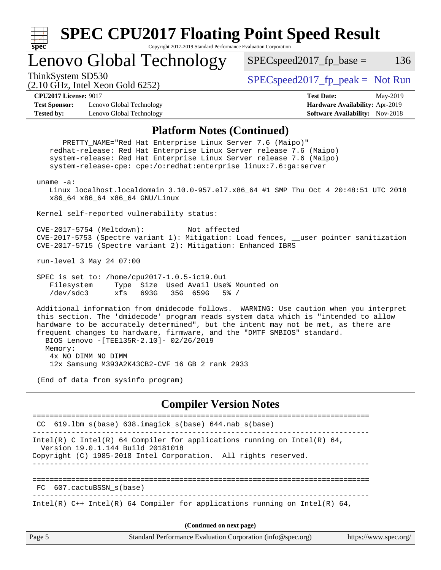

### **[SPEC CPU2017 Floating Point Speed Result](http://www.spec.org/auto/cpu2017/Docs/result-fields.html#SPECCPU2017FloatingPointSpeedResult)** Copyright 2017-2019 Standard Performance Evaluation Corporation

Lenovo Global Technology

ThinkSystem SD530  $SPEC speed2017$  [p\_peak = Not Run

 $SPEC speed2017<sub>fp</sub> base =  $136$$ 

(2.10 GHz, Intel Xeon Gold 6252)

**[CPU2017 License:](http://www.spec.org/auto/cpu2017/Docs/result-fields.html#CPU2017License)** 9017 **[Test Date:](http://www.spec.org/auto/cpu2017/Docs/result-fields.html#TestDate)** May-2019 **[Test Sponsor:](http://www.spec.org/auto/cpu2017/Docs/result-fields.html#TestSponsor)** Lenovo Global Technology **[Hardware Availability:](http://www.spec.org/auto/cpu2017/Docs/result-fields.html#HardwareAvailability)** Apr-2019 **[Tested by:](http://www.spec.org/auto/cpu2017/Docs/result-fields.html#Testedby)** Lenovo Global Technology **[Software Availability:](http://www.spec.org/auto/cpu2017/Docs/result-fields.html#SoftwareAvailability)** Nov-2018

#### **[Platform Notes \(Continued\)](http://www.spec.org/auto/cpu2017/Docs/result-fields.html#PlatformNotes)**

Page 5 Standard Performance Evaluation Corporation [\(info@spec.org\)](mailto:info@spec.org) <https://www.spec.org/> PRETTY\_NAME="Red Hat Enterprise Linux Server 7.6 (Maipo)" redhat-release: Red Hat Enterprise Linux Server release 7.6 (Maipo) system-release: Red Hat Enterprise Linux Server release 7.6 (Maipo) system-release-cpe: cpe:/o:redhat:enterprise\_linux:7.6:ga:server uname -a: Linux localhost.localdomain 3.10.0-957.el7.x86\_64 #1 SMP Thu Oct 4 20:48:51 UTC 2018 x86\_64 x86\_64 x86\_64 GNU/Linux Kernel self-reported vulnerability status: CVE-2017-5754 (Meltdown): Not affected CVE-2017-5753 (Spectre variant 1): Mitigation: Load fences, \_\_user pointer sanitization CVE-2017-5715 (Spectre variant 2): Mitigation: Enhanced IBRS run-level 3 May 24 07:00 SPEC is set to: /home/cpu2017-1.0.5-ic19.0u1 Filesystem Type Size Used Avail Use% Mounted on /dev/sdc3 xfs 693G 35G 659G 5% / Additional information from dmidecode follows. WARNING: Use caution when you interpret this section. The 'dmidecode' program reads system data which is "intended to allow hardware to be accurately determined", but the intent may not be met, as there are frequent changes to hardware, firmware, and the "DMTF SMBIOS" standard. BIOS Lenovo -[TEE135R-2.10]- 02/26/2019 Memory: 4x NO DIMM NO DIMM 12x Samsung M393A2K43CB2-CVF 16 GB 2 rank 2933 (End of data from sysinfo program) **[Compiler Version Notes](http://www.spec.org/auto/cpu2017/Docs/result-fields.html#CompilerVersionNotes)** ============================================================================== CC 619.lbm\_s(base) 638.imagick\_s(base) 644.nab\_s(base) ------------------------------------------------------------------------------ Intel(R) C Intel(R) 64 Compiler for applications running on Intel(R)  $64$ , Version 19.0.1.144 Build 20181018 Copyright (C) 1985-2018 Intel Corporation. All rights reserved. ------------------------------------------------------------------------------ ============================================================================== FC 607.cactuBSSN\_s(base) ------------------------------------------------------------------------------ Intel(R)  $C++$  Intel(R) 64 Compiler for applications running on Intel(R) 64, **(Continued on next page)**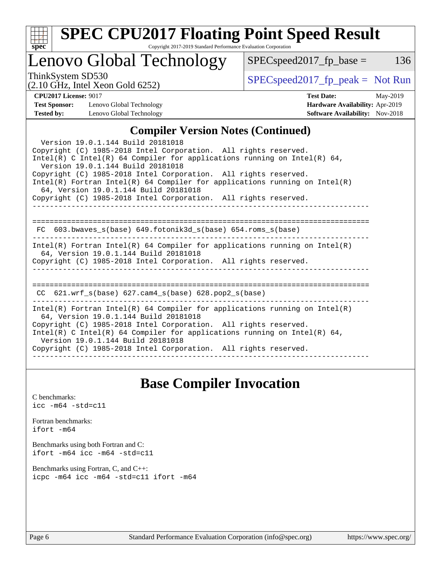| ×.<br>€<br>۰ |  |  |  |  |  |
|--------------|--|--|--|--|--|

# **[SPEC CPU2017 Floating Point Speed Result](http://www.spec.org/auto/cpu2017/Docs/result-fields.html#SPECCPU2017FloatingPointSpeedResult)**

Copyright 2017-2019 Standard Performance Evaluation Corporation

# Lenovo Global Technology

ThinkSystem SD530<br>  $\begin{array}{r} \text{SPEC speed2017\_fp\_peak = Not Run} \\ \text{SPEC speed2017\_fp\_peak = Not Run} \end{array}$ 

 $SPEC speed2017_fp\_base = 136$ 

(2.10 GHz, Intel Xeon Gold 6252)

# **[CPU2017 License:](http://www.spec.org/auto/cpu2017/Docs/result-fields.html#CPU2017License)** 9017 **[Test Date:](http://www.spec.org/auto/cpu2017/Docs/result-fields.html#TestDate)** May-2019

**[Test Sponsor:](http://www.spec.org/auto/cpu2017/Docs/result-fields.html#TestSponsor)** Lenovo Global Technology **[Hardware Availability:](http://www.spec.org/auto/cpu2017/Docs/result-fields.html#HardwareAvailability)** Apr-2019 **[Tested by:](http://www.spec.org/auto/cpu2017/Docs/result-fields.html#Testedby)** Lenovo Global Technology **[Software Availability:](http://www.spec.org/auto/cpu2017/Docs/result-fields.html#SoftwareAvailability)** Nov-2018

## **[Compiler Version Notes \(Continued\)](http://www.spec.org/auto/cpu2017/Docs/result-fields.html#CompilerVersionNotes)**

| Version 19.0.1.144 Build 20181018<br>Copyright (C) 1985-2018 Intel Corporation. All rights reserved.<br>$Intel(R)$ C Intel(R) 64 Compiler for applications running on Intel(R) 64,<br>Version 19.0.1.144 Build 20181018<br>Copyright (C) 1985-2018 Intel Corporation. All rights reserved.<br>$Intel(R)$ Fortran Intel(R) 64 Compiler for applications running on Intel(R)<br>64, Version 19.0.1.144 Build 20181018<br>Copyright (C) 1985-2018 Intel Corporation. All rights reserved. |
|----------------------------------------------------------------------------------------------------------------------------------------------------------------------------------------------------------------------------------------------------------------------------------------------------------------------------------------------------------------------------------------------------------------------------------------------------------------------------------------|
| FC $603.bwaves$ s(base) $649.fotonik3d$ s(base) $654.roms$ s(base)                                                                                                                                                                                                                                                                                                                                                                                                                     |
| $Intel(R)$ Fortran Intel(R) 64 Compiler for applications running on Intel(R)<br>64, Version 19.0.1.144 Build 20181018<br>Copyright (C) 1985-2018 Intel Corporation. All rights reserved.                                                                                                                                                                                                                                                                                               |
| CC $621.wrf s(base) 627.cam4 s(base) 628.pop2 s(base)$                                                                                                                                                                                                                                                                                                                                                                                                                                 |
| Intel(R) Fortran Intel(R) 64 Compiler for applications running on Intel(R)<br>64, Version 19.0.1.144 Build 20181018<br>Copyright (C) 1985-2018 Intel Corporation. All rights reserved.<br>Intel(R) C Intel(R) 64 Compiler for applications running on Intel(R) 64,<br>Version 19.0.1.144 Build 20181018<br>Copyright (C) 1985-2018 Intel Corporation. All rights reserved.<br>-------------                                                                                            |

### **[Base Compiler Invocation](http://www.spec.org/auto/cpu2017/Docs/result-fields.html#BaseCompilerInvocation)**

[C benchmarks](http://www.spec.org/auto/cpu2017/Docs/result-fields.html#Cbenchmarks): [icc -m64 -std=c11](http://www.spec.org/cpu2017/results/res2019q2/cpu2017-20190527-14821.flags.html#user_CCbase_intel_icc_64bit_c11_33ee0cdaae7deeeab2a9725423ba97205ce30f63b9926c2519791662299b76a0318f32ddfffdc46587804de3178b4f9328c46fa7c2b0cd779d7a61945c91cd35)

[Fortran benchmarks](http://www.spec.org/auto/cpu2017/Docs/result-fields.html#Fortranbenchmarks): [ifort -m64](http://www.spec.org/cpu2017/results/res2019q2/cpu2017-20190527-14821.flags.html#user_FCbase_intel_ifort_64bit_24f2bb282fbaeffd6157abe4f878425411749daecae9a33200eee2bee2fe76f3b89351d69a8130dd5949958ce389cf37ff59a95e7a40d588e8d3a57e0c3fd751)

[Benchmarks using both Fortran and C](http://www.spec.org/auto/cpu2017/Docs/result-fields.html#BenchmarksusingbothFortranandC): [ifort -m64](http://www.spec.org/cpu2017/results/res2019q2/cpu2017-20190527-14821.flags.html#user_CC_FCbase_intel_ifort_64bit_24f2bb282fbaeffd6157abe4f878425411749daecae9a33200eee2bee2fe76f3b89351d69a8130dd5949958ce389cf37ff59a95e7a40d588e8d3a57e0c3fd751) [icc -m64 -std=c11](http://www.spec.org/cpu2017/results/res2019q2/cpu2017-20190527-14821.flags.html#user_CC_FCbase_intel_icc_64bit_c11_33ee0cdaae7deeeab2a9725423ba97205ce30f63b9926c2519791662299b76a0318f32ddfffdc46587804de3178b4f9328c46fa7c2b0cd779d7a61945c91cd35)

[Benchmarks using Fortran, C, and C++:](http://www.spec.org/auto/cpu2017/Docs/result-fields.html#BenchmarksusingFortranCandCXX) [icpc -m64](http://www.spec.org/cpu2017/results/res2019q2/cpu2017-20190527-14821.flags.html#user_CC_CXX_FCbase_intel_icpc_64bit_4ecb2543ae3f1412ef961e0650ca070fec7b7afdcd6ed48761b84423119d1bf6bdf5cad15b44d48e7256388bc77273b966e5eb805aefd121eb22e9299b2ec9d9) [icc -m64 -std=c11](http://www.spec.org/cpu2017/results/res2019q2/cpu2017-20190527-14821.flags.html#user_CC_CXX_FCbase_intel_icc_64bit_c11_33ee0cdaae7deeeab2a9725423ba97205ce30f63b9926c2519791662299b76a0318f32ddfffdc46587804de3178b4f9328c46fa7c2b0cd779d7a61945c91cd35) [ifort -m64](http://www.spec.org/cpu2017/results/res2019q2/cpu2017-20190527-14821.flags.html#user_CC_CXX_FCbase_intel_ifort_64bit_24f2bb282fbaeffd6157abe4f878425411749daecae9a33200eee2bee2fe76f3b89351d69a8130dd5949958ce389cf37ff59a95e7a40d588e8d3a57e0c3fd751)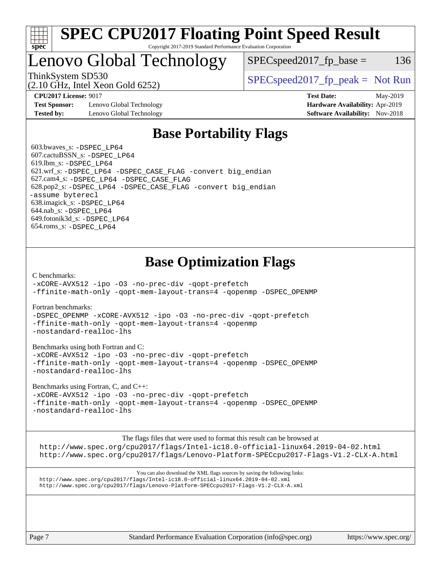

### **[SPEC CPU2017 Floating Point Speed Result](http://www.spec.org/auto/cpu2017/Docs/result-fields.html#SPECCPU2017FloatingPointSpeedResult)** Copyright 2017-2019 Standard Performance Evaluation Corporation

# Lenovo Global Technology

 $SPEC speed2017_fp\_base = 136$ 

(2.10 GHz, Intel Xeon Gold 6252)

ThinkSystem SD530  $SPEC speed2017_f p_peak = Not Run$ 

**[Test Sponsor:](http://www.spec.org/auto/cpu2017/Docs/result-fields.html#TestSponsor)** Lenovo Global Technology **[Hardware Availability:](http://www.spec.org/auto/cpu2017/Docs/result-fields.html#HardwareAvailability)** Apr-2019 **[Tested by:](http://www.spec.org/auto/cpu2017/Docs/result-fields.html#Testedby)** Lenovo Global Technology **[Software Availability:](http://www.spec.org/auto/cpu2017/Docs/result-fields.html#SoftwareAvailability)** Nov-2018

**[CPU2017 License:](http://www.spec.org/auto/cpu2017/Docs/result-fields.html#CPU2017License)** 9017 **[Test Date:](http://www.spec.org/auto/cpu2017/Docs/result-fields.html#TestDate)** May-2019

## **[Base Portability Flags](http://www.spec.org/auto/cpu2017/Docs/result-fields.html#BasePortabilityFlags)**

 603.bwaves\_s: [-DSPEC\\_LP64](http://www.spec.org/cpu2017/results/res2019q2/cpu2017-20190527-14821.flags.html#suite_basePORTABILITY603_bwaves_s_DSPEC_LP64) 607.cactuBSSN\_s: [-DSPEC\\_LP64](http://www.spec.org/cpu2017/results/res2019q2/cpu2017-20190527-14821.flags.html#suite_basePORTABILITY607_cactuBSSN_s_DSPEC_LP64) 619.lbm\_s: [-DSPEC\\_LP64](http://www.spec.org/cpu2017/results/res2019q2/cpu2017-20190527-14821.flags.html#suite_basePORTABILITY619_lbm_s_DSPEC_LP64) 621.wrf\_s: [-DSPEC\\_LP64](http://www.spec.org/cpu2017/results/res2019q2/cpu2017-20190527-14821.flags.html#suite_basePORTABILITY621_wrf_s_DSPEC_LP64) [-DSPEC\\_CASE\\_FLAG](http://www.spec.org/cpu2017/results/res2019q2/cpu2017-20190527-14821.flags.html#b621.wrf_s_baseCPORTABILITY_DSPEC_CASE_FLAG) [-convert big\\_endian](http://www.spec.org/cpu2017/results/res2019q2/cpu2017-20190527-14821.flags.html#user_baseFPORTABILITY621_wrf_s_convert_big_endian_c3194028bc08c63ac5d04de18c48ce6d347e4e562e8892b8bdbdc0214820426deb8554edfa529a3fb25a586e65a3d812c835984020483e7e73212c4d31a38223) 627.cam4\_s: [-DSPEC\\_LP64](http://www.spec.org/cpu2017/results/res2019q2/cpu2017-20190527-14821.flags.html#suite_basePORTABILITY627_cam4_s_DSPEC_LP64) [-DSPEC\\_CASE\\_FLAG](http://www.spec.org/cpu2017/results/res2019q2/cpu2017-20190527-14821.flags.html#b627.cam4_s_baseCPORTABILITY_DSPEC_CASE_FLAG) 628.pop2\_s: [-DSPEC\\_LP64](http://www.spec.org/cpu2017/results/res2019q2/cpu2017-20190527-14821.flags.html#suite_basePORTABILITY628_pop2_s_DSPEC_LP64) [-DSPEC\\_CASE\\_FLAG](http://www.spec.org/cpu2017/results/res2019q2/cpu2017-20190527-14821.flags.html#b628.pop2_s_baseCPORTABILITY_DSPEC_CASE_FLAG) [-convert big\\_endian](http://www.spec.org/cpu2017/results/res2019q2/cpu2017-20190527-14821.flags.html#user_baseFPORTABILITY628_pop2_s_convert_big_endian_c3194028bc08c63ac5d04de18c48ce6d347e4e562e8892b8bdbdc0214820426deb8554edfa529a3fb25a586e65a3d812c835984020483e7e73212c4d31a38223) [-assume byterecl](http://www.spec.org/cpu2017/results/res2019q2/cpu2017-20190527-14821.flags.html#user_baseFPORTABILITY628_pop2_s_assume_byterecl_7e47d18b9513cf18525430bbf0f2177aa9bf368bc7a059c09b2c06a34b53bd3447c950d3f8d6c70e3faf3a05c8557d66a5798b567902e8849adc142926523472) 638.imagick\_s: [-DSPEC\\_LP64](http://www.spec.org/cpu2017/results/res2019q2/cpu2017-20190527-14821.flags.html#suite_basePORTABILITY638_imagick_s_DSPEC_LP64) 644.nab\_s: [-DSPEC\\_LP64](http://www.spec.org/cpu2017/results/res2019q2/cpu2017-20190527-14821.flags.html#suite_basePORTABILITY644_nab_s_DSPEC_LP64) 649.fotonik3d\_s: [-DSPEC\\_LP64](http://www.spec.org/cpu2017/results/res2019q2/cpu2017-20190527-14821.flags.html#suite_basePORTABILITY649_fotonik3d_s_DSPEC_LP64) 654.roms\_s: [-DSPEC\\_LP64](http://www.spec.org/cpu2017/results/res2019q2/cpu2017-20190527-14821.flags.html#suite_basePORTABILITY654_roms_s_DSPEC_LP64)

## **[Base Optimization Flags](http://www.spec.org/auto/cpu2017/Docs/result-fields.html#BaseOptimizationFlags)**

[C benchmarks](http://www.spec.org/auto/cpu2017/Docs/result-fields.html#Cbenchmarks):

[-xCORE-AVX512](http://www.spec.org/cpu2017/results/res2019q2/cpu2017-20190527-14821.flags.html#user_CCbase_f-xCORE-AVX512) [-ipo](http://www.spec.org/cpu2017/results/res2019q2/cpu2017-20190527-14821.flags.html#user_CCbase_f-ipo) [-O3](http://www.spec.org/cpu2017/results/res2019q2/cpu2017-20190527-14821.flags.html#user_CCbase_f-O3) [-no-prec-div](http://www.spec.org/cpu2017/results/res2019q2/cpu2017-20190527-14821.flags.html#user_CCbase_f-no-prec-div) [-qopt-prefetch](http://www.spec.org/cpu2017/results/res2019q2/cpu2017-20190527-14821.flags.html#user_CCbase_f-qopt-prefetch) [-ffinite-math-only](http://www.spec.org/cpu2017/results/res2019q2/cpu2017-20190527-14821.flags.html#user_CCbase_f_finite_math_only_cb91587bd2077682c4b38af759c288ed7c732db004271a9512da14a4f8007909a5f1427ecbf1a0fb78ff2a814402c6114ac565ca162485bbcae155b5e4258871) [-qopt-mem-layout-trans=4](http://www.spec.org/cpu2017/results/res2019q2/cpu2017-20190527-14821.flags.html#user_CCbase_f-qopt-mem-layout-trans_fa39e755916c150a61361b7846f310bcdf6f04e385ef281cadf3647acec3f0ae266d1a1d22d972a7087a248fd4e6ca390a3634700869573d231a252c784941a8) [-qopenmp](http://www.spec.org/cpu2017/results/res2019q2/cpu2017-20190527-14821.flags.html#user_CCbase_qopenmp_16be0c44f24f464004c6784a7acb94aca937f053568ce72f94b139a11c7c168634a55f6653758ddd83bcf7b8463e8028bb0b48b77bcddc6b78d5d95bb1df2967) [-DSPEC\\_OPENMP](http://www.spec.org/cpu2017/results/res2019q2/cpu2017-20190527-14821.flags.html#suite_CCbase_DSPEC_OPENMP)

[Fortran benchmarks](http://www.spec.org/auto/cpu2017/Docs/result-fields.html#Fortranbenchmarks):

[-DSPEC\\_OPENMP](http://www.spec.org/cpu2017/results/res2019q2/cpu2017-20190527-14821.flags.html#suite_FCbase_DSPEC_OPENMP) [-xCORE-AVX512](http://www.spec.org/cpu2017/results/res2019q2/cpu2017-20190527-14821.flags.html#user_FCbase_f-xCORE-AVX512) [-ipo](http://www.spec.org/cpu2017/results/res2019q2/cpu2017-20190527-14821.flags.html#user_FCbase_f-ipo) [-O3](http://www.spec.org/cpu2017/results/res2019q2/cpu2017-20190527-14821.flags.html#user_FCbase_f-O3) [-no-prec-div](http://www.spec.org/cpu2017/results/res2019q2/cpu2017-20190527-14821.flags.html#user_FCbase_f-no-prec-div) [-qopt-prefetch](http://www.spec.org/cpu2017/results/res2019q2/cpu2017-20190527-14821.flags.html#user_FCbase_f-qopt-prefetch) [-ffinite-math-only](http://www.spec.org/cpu2017/results/res2019q2/cpu2017-20190527-14821.flags.html#user_FCbase_f_finite_math_only_cb91587bd2077682c4b38af759c288ed7c732db004271a9512da14a4f8007909a5f1427ecbf1a0fb78ff2a814402c6114ac565ca162485bbcae155b5e4258871) [-qopt-mem-layout-trans=4](http://www.spec.org/cpu2017/results/res2019q2/cpu2017-20190527-14821.flags.html#user_FCbase_f-qopt-mem-layout-trans_fa39e755916c150a61361b7846f310bcdf6f04e385ef281cadf3647acec3f0ae266d1a1d22d972a7087a248fd4e6ca390a3634700869573d231a252c784941a8) [-qopenmp](http://www.spec.org/cpu2017/results/res2019q2/cpu2017-20190527-14821.flags.html#user_FCbase_qopenmp_16be0c44f24f464004c6784a7acb94aca937f053568ce72f94b139a11c7c168634a55f6653758ddd83bcf7b8463e8028bb0b48b77bcddc6b78d5d95bb1df2967) [-nostandard-realloc-lhs](http://www.spec.org/cpu2017/results/res2019q2/cpu2017-20190527-14821.flags.html#user_FCbase_f_2003_std_realloc_82b4557e90729c0f113870c07e44d33d6f5a304b4f63d4c15d2d0f1fab99f5daaed73bdb9275d9ae411527f28b936061aa8b9c8f2d63842963b95c9dd6426b8a)

[Benchmarks using both Fortran and C](http://www.spec.org/auto/cpu2017/Docs/result-fields.html#BenchmarksusingbothFortranandC):

[-xCORE-AVX512](http://www.spec.org/cpu2017/results/res2019q2/cpu2017-20190527-14821.flags.html#user_CC_FCbase_f-xCORE-AVX512) [-ipo](http://www.spec.org/cpu2017/results/res2019q2/cpu2017-20190527-14821.flags.html#user_CC_FCbase_f-ipo) [-O3](http://www.spec.org/cpu2017/results/res2019q2/cpu2017-20190527-14821.flags.html#user_CC_FCbase_f-O3) [-no-prec-div](http://www.spec.org/cpu2017/results/res2019q2/cpu2017-20190527-14821.flags.html#user_CC_FCbase_f-no-prec-div) [-qopt-prefetch](http://www.spec.org/cpu2017/results/res2019q2/cpu2017-20190527-14821.flags.html#user_CC_FCbase_f-qopt-prefetch) [-ffinite-math-only](http://www.spec.org/cpu2017/results/res2019q2/cpu2017-20190527-14821.flags.html#user_CC_FCbase_f_finite_math_only_cb91587bd2077682c4b38af759c288ed7c732db004271a9512da14a4f8007909a5f1427ecbf1a0fb78ff2a814402c6114ac565ca162485bbcae155b5e4258871) [-qopt-mem-layout-trans=4](http://www.spec.org/cpu2017/results/res2019q2/cpu2017-20190527-14821.flags.html#user_CC_FCbase_f-qopt-mem-layout-trans_fa39e755916c150a61361b7846f310bcdf6f04e385ef281cadf3647acec3f0ae266d1a1d22d972a7087a248fd4e6ca390a3634700869573d231a252c784941a8) [-qopenmp](http://www.spec.org/cpu2017/results/res2019q2/cpu2017-20190527-14821.flags.html#user_CC_FCbase_qopenmp_16be0c44f24f464004c6784a7acb94aca937f053568ce72f94b139a11c7c168634a55f6653758ddd83bcf7b8463e8028bb0b48b77bcddc6b78d5d95bb1df2967) [-DSPEC\\_OPENMP](http://www.spec.org/cpu2017/results/res2019q2/cpu2017-20190527-14821.flags.html#suite_CC_FCbase_DSPEC_OPENMP) [-nostandard-realloc-lhs](http://www.spec.org/cpu2017/results/res2019q2/cpu2017-20190527-14821.flags.html#user_CC_FCbase_f_2003_std_realloc_82b4557e90729c0f113870c07e44d33d6f5a304b4f63d4c15d2d0f1fab99f5daaed73bdb9275d9ae411527f28b936061aa8b9c8f2d63842963b95c9dd6426b8a)

[Benchmarks using Fortran, C, and C++:](http://www.spec.org/auto/cpu2017/Docs/result-fields.html#BenchmarksusingFortranCandCXX)

[-xCORE-AVX512](http://www.spec.org/cpu2017/results/res2019q2/cpu2017-20190527-14821.flags.html#user_CC_CXX_FCbase_f-xCORE-AVX512) [-ipo](http://www.spec.org/cpu2017/results/res2019q2/cpu2017-20190527-14821.flags.html#user_CC_CXX_FCbase_f-ipo) [-O3](http://www.spec.org/cpu2017/results/res2019q2/cpu2017-20190527-14821.flags.html#user_CC_CXX_FCbase_f-O3) [-no-prec-div](http://www.spec.org/cpu2017/results/res2019q2/cpu2017-20190527-14821.flags.html#user_CC_CXX_FCbase_f-no-prec-div) [-qopt-prefetch](http://www.spec.org/cpu2017/results/res2019q2/cpu2017-20190527-14821.flags.html#user_CC_CXX_FCbase_f-qopt-prefetch) [-ffinite-math-only](http://www.spec.org/cpu2017/results/res2019q2/cpu2017-20190527-14821.flags.html#user_CC_CXX_FCbase_f_finite_math_only_cb91587bd2077682c4b38af759c288ed7c732db004271a9512da14a4f8007909a5f1427ecbf1a0fb78ff2a814402c6114ac565ca162485bbcae155b5e4258871) [-qopt-mem-layout-trans=4](http://www.spec.org/cpu2017/results/res2019q2/cpu2017-20190527-14821.flags.html#user_CC_CXX_FCbase_f-qopt-mem-layout-trans_fa39e755916c150a61361b7846f310bcdf6f04e385ef281cadf3647acec3f0ae266d1a1d22d972a7087a248fd4e6ca390a3634700869573d231a252c784941a8) [-qopenmp](http://www.spec.org/cpu2017/results/res2019q2/cpu2017-20190527-14821.flags.html#user_CC_CXX_FCbase_qopenmp_16be0c44f24f464004c6784a7acb94aca937f053568ce72f94b139a11c7c168634a55f6653758ddd83bcf7b8463e8028bb0b48b77bcddc6b78d5d95bb1df2967) [-DSPEC\\_OPENMP](http://www.spec.org/cpu2017/results/res2019q2/cpu2017-20190527-14821.flags.html#suite_CC_CXX_FCbase_DSPEC_OPENMP) [-nostandard-realloc-lhs](http://www.spec.org/cpu2017/results/res2019q2/cpu2017-20190527-14821.flags.html#user_CC_CXX_FCbase_f_2003_std_realloc_82b4557e90729c0f113870c07e44d33d6f5a304b4f63d4c15d2d0f1fab99f5daaed73bdb9275d9ae411527f28b936061aa8b9c8f2d63842963b95c9dd6426b8a)

The flags files that were used to format this result can be browsed at

<http://www.spec.org/cpu2017/flags/Intel-ic18.0-official-linux64.2019-04-02.html> <http://www.spec.org/cpu2017/flags/Lenovo-Platform-SPECcpu2017-Flags-V1.2-CLX-A.html>

You can also download the XML flags sources by saving the following links: <http://www.spec.org/cpu2017/flags/Intel-ic18.0-official-linux64.2019-04-02.xml> <http://www.spec.org/cpu2017/flags/Lenovo-Platform-SPECcpu2017-Flags-V1.2-CLX-A.xml>